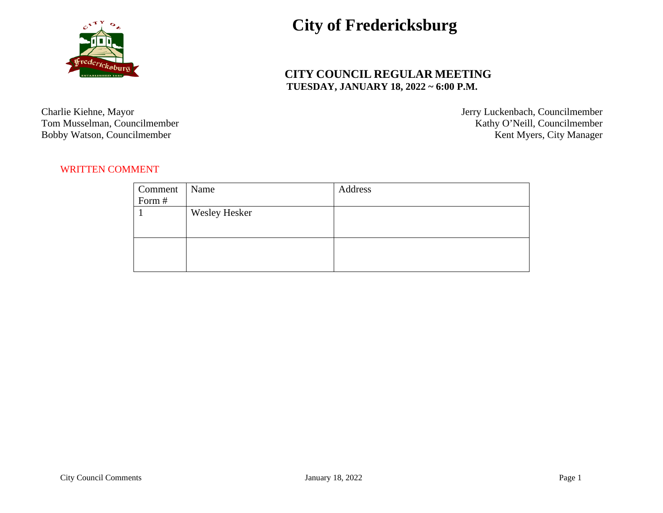

## **City of Fredericksburg**

## **CITY COUNCIL REGULAR MEETING TUESDAY, JANUARY 18, 2022 ~ 6:00 P.M.**

Bobby Watson, Councilmember

Charlie Kiehne, Mayor Jerry Luckenbach, Councilmember<br>
Tom Musselman, Councilmember (Statistic Action of Tom Musselman, Councilmember (Statistic Action of Tom Musselman, Councilmember) Kathy O'Neill, Councilmember<br>Kent Myers, City Manager

## WRITTEN COMMENT

| Comment | Name                 | Address |
|---------|----------------------|---------|
| Form #  |                      |         |
|         | <b>Wesley Hesker</b> |         |
|         |                      |         |
|         |                      |         |
|         |                      |         |
|         |                      |         |
|         |                      |         |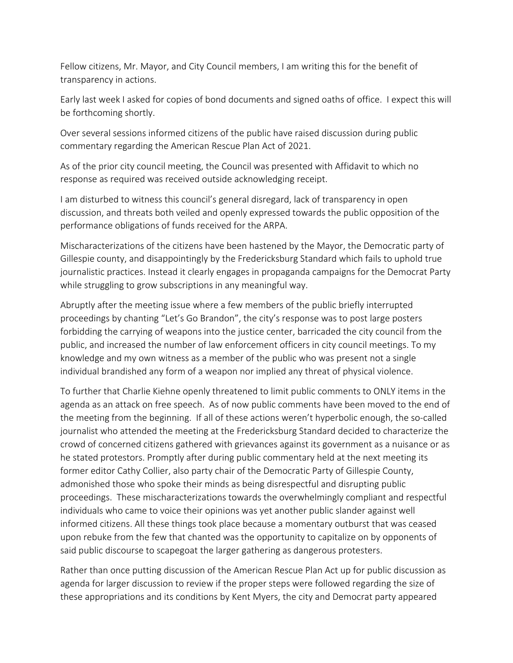Fellow citizens, Mr. Mayor, and City Council members, I am writing this for the benefit of transparency in actions.

Early last week I asked for copies of bond documents and signed oaths of office. I expect this will be forthcoming shortly.

Over several sessions informed citizens of the public have raised discussion during public commentary regarding the American Rescue Plan Act of 2021.

As of the prior city council meeting, the Council was presented with Affidavit to which no response as required was received outside acknowledging receipt.

I am disturbed to witness this council's general disregard, lack of transparency in open discussion, and threats both veiled and openly expressed towards the public opposition of the performance obligations of funds received for the ARPA.

Mischaracterizations of the citizens have been hastened by the Mayor, the Democratic party of Gillespie county, and disappointingly by the Fredericksburg Standard which fails to uphold true journalistic practices. Instead it clearly engages in propaganda campaigns for the Democrat Party while struggling to grow subscriptions in any meaningful way.

Abruptly after the meeting issue where a few members of the public briefly interrupted proceedings by chanting "Let's Go Brandon", the city's response was to post large posters forbidding the carrying of weapons into the justice center, barricaded the city council from the public, and increased the number of law enforcement officers in city council meetings. To my knowledge and my own witness as a member of the public who was present not a single individual brandished any form of a weapon nor implied any threat of physical violence.

To further that Charlie Kiehne openly threatened to limit public comments to ONLY items in the agenda as an attack on free speech. As of now public comments have been moved to the end of the meeting from the beginning. If all of these actions weren't hyperbolic enough, the so‐called journalist who attended the meeting at the Fredericksburg Standard decided to characterize the crowd of concerned citizens gathered with grievances against its government as a nuisance or as he stated protestors. Promptly after during public commentary held at the next meeting its former editor Cathy Collier, also party chair of the Democratic Party of Gillespie County, admonished those who spoke their minds as being disrespectful and disrupting public proceedings. These mischaracterizations towards the overwhelmingly compliant and respectful individuals who came to voice their opinions was yet another public slander against well informed citizens. All these things took place because a momentary outburst that was ceased upon rebuke from the few that chanted was the opportunity to capitalize on by opponents of said public discourse to scapegoat the larger gathering as dangerous protesters.

Rather than once putting discussion of the American Rescue Plan Act up for public discussion as agenda for larger discussion to review if the proper steps were followed regarding the size of these appropriations and its conditions by Kent Myers, the city and Democrat party appeared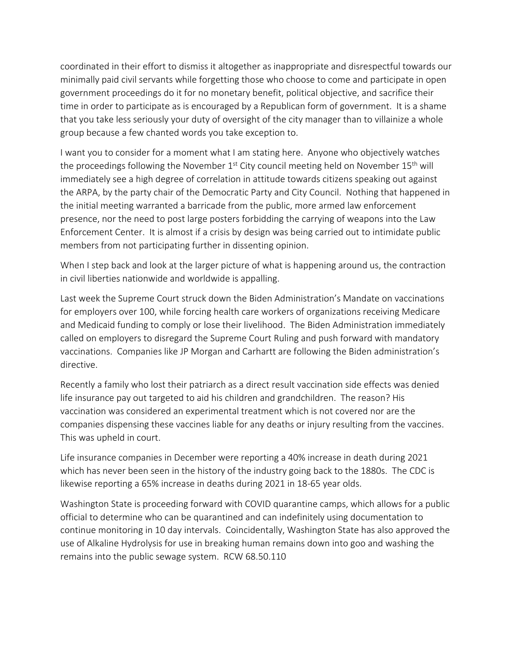coordinated in their effort to dismiss it altogether as inappropriate and disrespectful towards our minimally paid civil servants while forgetting those who choose to come and participate in open government proceedings do it for no monetary benefit, political objective, and sacrifice their time in order to participate as is encouraged by a Republican form of government. It is a shame that you take less seriously your duty of oversight of the city manager than to villainize a whole group because a few chanted words you take exception to.

I want you to consider for a moment what I am stating here. Anyone who objectively watches the proceedings following the November  $1^{st}$  City council meeting held on November  $15^{th}$  will immediately see a high degree of correlation in attitude towards citizens speaking out against the ARPA, by the party chair of the Democratic Party and City Council. Nothing that happened in the initial meeting warranted a barricade from the public, more armed law enforcement presence, nor the need to post large posters forbidding the carrying of weapons into the Law Enforcement Center. It is almost if a crisis by design was being carried out to intimidate public members from not participating further in dissenting opinion.

When I step back and look at the larger picture of what is happening around us, the contraction in civil liberties nationwide and worldwide is appalling.

Last week the Supreme Court struck down the Biden Administration's Mandate on vaccinations for employers over 100, while forcing health care workers of organizations receiving Medicare and Medicaid funding to comply or lose their livelihood. The Biden Administration immediately called on employers to disregard the Supreme Court Ruling and push forward with mandatory vaccinations. Companies like JP Morgan and Carhartt are following the Biden administration's directive.

Recently a family who lost their patriarch as a direct result vaccination side effects was denied life insurance pay out targeted to aid his children and grandchildren. The reason? His vaccination was considered an experimental treatment which is not covered nor are the companies dispensing these vaccines liable for any deaths or injury resulting from the vaccines. This was upheld in court.

Life insurance companies in December were reporting a 40% increase in death during 2021 which has never been seen in the history of the industry going back to the 1880s. The CDC is likewise reporting a 65% increase in deaths during 2021 in 18‐65 year olds.

Washington State is proceeding forward with COVID quarantine camps, which allows for a public official to determine who can be quarantined and can indefinitely using documentation to continue monitoring in 10 day intervals. Coincidentally, Washington State has also approved the use of Alkaline Hydrolysis for use in breaking human remains down into goo and washing the remains into the public sewage system. RCW 68.50.110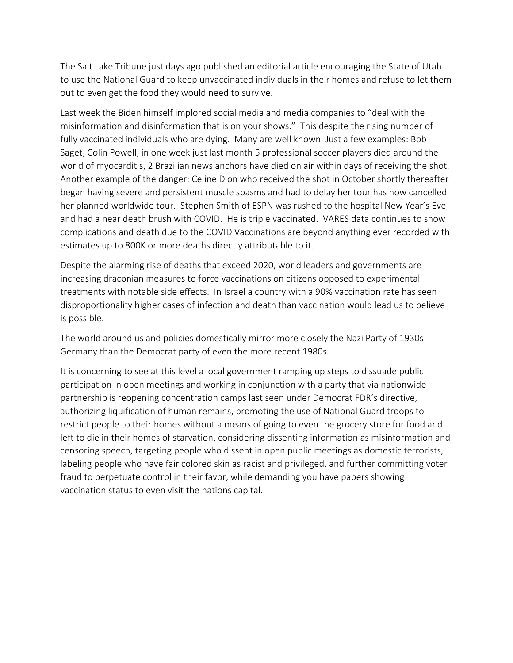The Salt Lake Tribune just days ago published an editorial article encouraging the State of Utah to use the National Guard to keep unvaccinated individuals in their homes and refuse to let them out to even get the food they would need to survive.

Last week the Biden himself implored social media and media companies to "deal with the misinformation and disinformation that is on your shows." This despite the rising number of fully vaccinated individuals who are dying. Many are well known. Just a few examples: Bob Saget, Colin Powell, in one week just last month 5 professional soccer players died around the world of myocarditis, 2 Brazilian news anchors have died on air within days of receiving the shot. Another example of the danger: Celine Dion who received the shot in October shortly thereafter began having severe and persistent muscle spasms and had to delay her tour has now cancelled her planned worldwide tour. Stephen Smith of ESPN was rushed to the hospital New Year's Eve and had a near death brush with COVID. He is triple vaccinated. VARES data continues to show complications and death due to the COVID Vaccinations are beyond anything ever recorded with estimates up to 800K or more deaths directly attributable to it.

Despite the alarming rise of deaths that exceed 2020, world leaders and governments are increasing draconian measures to force vaccinations on citizens opposed to experimental treatments with notable side effects. In Israel a country with a 90% vaccination rate has seen disproportionality higher cases of infection and death than vaccination would lead us to believe is possible.

The world around us and policies domestically mirror more closely the Nazi Party of 1930s Germany than the Democrat party of even the more recent 1980s.

It is concerning to see at this level a local government ramping up steps to dissuade public participation in open meetings and working in conjunction with a party that via nationwide partnership is reopening concentration camps last seen under Democrat FDR's directive, authorizing liquification of human remains, promoting the use of National Guard troops to restrict people to their homes without a means of going to even the grocery store for food and left to die in their homes of starvation, considering dissenting information as misinformation and censoring speech, targeting people who dissent in open public meetings as domestic terrorists, labeling people who have fair colored skin as racist and privileged, and further committing voter fraud to perpetuate control in their favor, while demanding you have papers showing vaccination status to even visit the nations capital.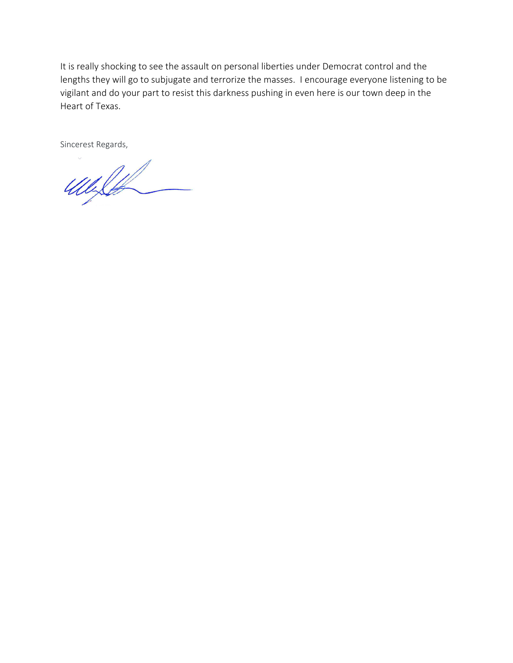It is really shocking to see the assault on personal liberties under Democrat control and the lengths they will go to subjugate and terrorize the masses. I encourage everyone listening to be vigilant and do your part to resist this darkness pushing in even here is our town deep in the Heart of Texas.

Sincerest Regards,

Welt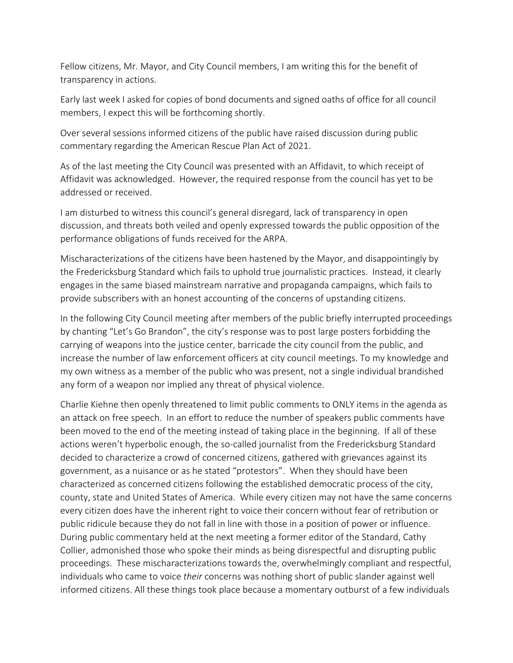Fellow citizens, Mr. Mayor, and City Council members, I am writing this for the benefit of transparency in actions.

Early last week I asked for copies of bond documents and signed oaths of office for all council members, I expect this will be forthcoming shortly.

Over several sessions informed citizens of the public have raised discussion during public commentary regarding the American Rescue Plan Act of 2021.

As of the last meeting the City Council was presented with an Affidavit, to which receipt of Affidavit was acknowledged. However, the required response from the council has yet to be addressed or received.

I am disturbed to witness this council's general disregard, lack of transparency in open discussion, and threats both veiled and openly expressed towards the public opposition of the performance obligations of funds received for the ARPA.

Mischaracterizations of the citizens have been hastened by the Mayor, and disappointingly by the Fredericksburg Standard which fails to uphold true journalistic practices. Instead, it clearly engages in the same biased mainstream narrative and propaganda campaigns, which fails to provide subscribers with an honest accounting of the concerns of upstanding citizens.

In the following City Council meeting after members of the public briefly interrupted proceedings by chanting "Let's Go Brandon", the city's response was to post large posters forbidding the carrying of weapons into the justice center, barricade the city council from the public, and increase the number of law enforcement officers at city council meetings. To my knowledge and my own witness as a member of the public who was present, not a single individual brandished any form of a weapon nor implied any threat of physical violence.

Charlie Kiehne then openly threatened to limit public comments to ONLY items in the agenda as an attack on free speech. In an effort to reduce the number of speakers public comments have been moved to the end of the meeting instead of taking place in the beginning. If all of these actions weren't hyperbolic enough, the so-called journalist from the Fredericksburg Standard decided to characterize a crowd of concerned citizens, gathered with grievances against its government, as a nuisance or as he stated "protestors". When they should have been characterized as concerned citizens following the established democratic process of the city, county, state and United States of America. While every citizen may not have the same concerns every citizen does have the inherent right to voice their concern without fear of retribution or public ridicule because they do not fall in line with those in a position of power or influence. During public commentary held at the next meeting a former editor of the Standard, Cathy Collier, admonished those who spoke their minds as being disrespectful and disrupting public proceedings. These mischaracterizations towards the, overwhelmingly compliant and respectful, individuals who came to voice *their* concerns was nothing short of public slander against well informed citizens. All these things took place because a momentary outburst of a few individuals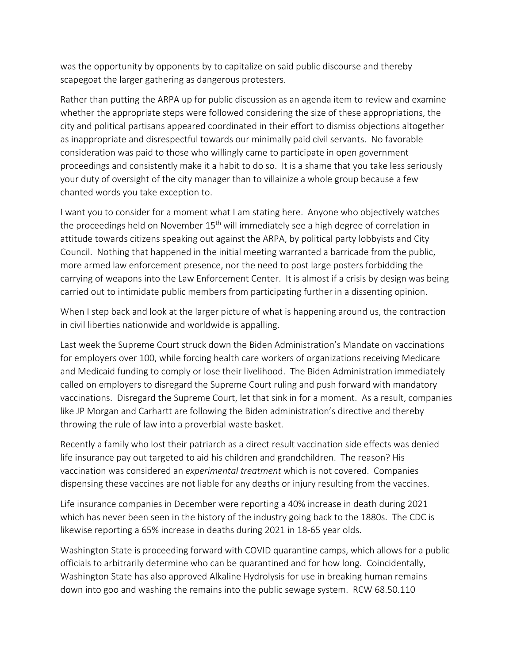was the opportunity by opponents by to capitalize on said public discourse and thereby scapegoat the larger gathering as dangerous protesters.

Rather than putting the ARPA up for public discussion as an agenda item to review and examine whether the appropriate steps were followed considering the size of these appropriations, the city and political partisans appeared coordinated in their effort to dismiss objections altogether as inappropriate and disrespectful towards our minimally paid civil servants. No favorable consideration was paid to those who willingly came to participate in open government proceedings and consistently make it a habit to do so. It is a shame that you take less seriously your duty of oversight of the city manager than to villainize a whole group because a few chanted words you take exception to.

I want you to consider for a moment what I am stating here. Anyone who objectively watches the proceedings held on November 15<sup>th</sup> will immediately see a high degree of correlation in attitude towards citizens speaking out against the ARPA, by political party lobbyists and City Council. Nothing that happened in the initial meeting warranted a barricade from the public, more armed law enforcement presence, nor the need to post large posters forbidding the carrying of weapons into the Law Enforcement Center. It is almost if a crisis by design was being carried out to intimidate public members from participating further in a dissenting opinion.

When I step back and look at the larger picture of what is happening around us, the contraction in civil liberties nationwide and worldwide is appalling.

Last week the Supreme Court struck down the Biden Administration's Mandate on vaccinations for employers over 100, while forcing health care workers of organizations receiving Medicare and Medicaid funding to comply or lose their livelihood. The Biden Administration immediately called on employers to disregard the Supreme Courtruling and push forward with mandatory vaccinations. Disregard the Supreme Court, let that sink in for a moment. As a result, companies like JP Morgan and Carhartt are following the Biden administration's directive and thereby throwing the rule of law into a proverbial waste basket.

Recently a family who lost their patriarch as a direct result vaccination side effects was denied life insurance pay out targeted to aid his children and grandchildren. The reason? His vaccination was considered an *experimental treatment* which is not covered. Companies dispensing these vaccines are not liable for any deaths or injury resulting from the vaccines.

Life insurance companies in December were reporting a 40% increase in death during 2021 which has never been seen in the history of the industry going back to the 1880s. The CDC is likewise reporting a 65% increase in deaths during 2021 in 18‐65 year olds.

Washington State is proceeding forward with COVID quarantine camps, which allows for a public officials to arbitrarily determine who can be quarantined and for how long. Coincidentally, Washington State has also approved Alkaline Hydrolysis for use in breaking human remains down into goo and washing the remains into the public sewage system. RCW 68.50.110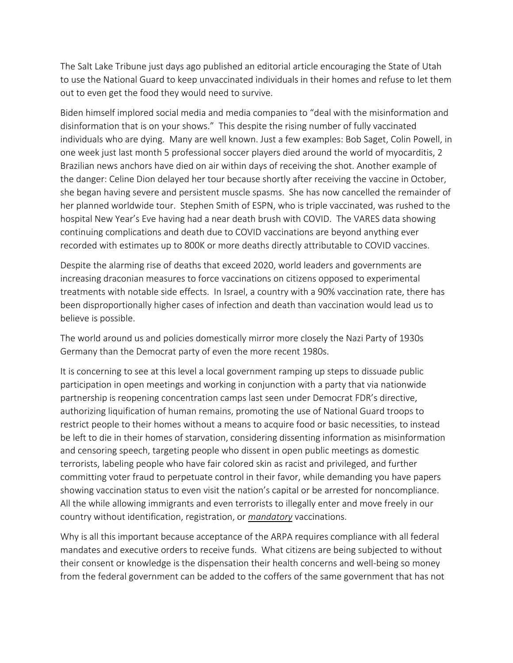The Salt Lake Tribune just days ago published an editorial article encouraging the State of Utah to use the National Guard to keep unvaccinated individuals in their homes and refuse to let them out to even get the food they would need to survive.

Biden himself implored social media and media companies to "deal with the misinformation and disinformation that is on your shows." This despite the rising number of fully vaccinated individuals who are dying. Many are well known. Just a few examples: Bob Saget, Colin Powell, in one week just last month 5 professional soccer players died around the world of myocarditis, 2 Brazilian news anchors have died on air within days of receiving the shot. Another example of the danger: Celine Dion delayed her tour because shortly after receiving the vaccine in October, she began having severe and persistent muscle spasms. She has now cancelled the remainder of her planned worldwide tour. Stephen Smith of ESPN, who is triple vaccinated, was rushed to the hospital New Year's Eve having had a near death brush with COVID. The VARES data showing continuing complications and death due to COVID vaccinations are beyond anything ever recorded with estimates up to 800K or more deaths directly attributable to COVID vaccines.

Despite the alarming rise of deaths that exceed 2020, world leaders and governments are increasing draconian measures to force vaccinations on citizens opposed to experimental treatments with notable side effects. In Israel, a country with a 90% vaccination rate, there has been disproportionally higher cases of infection and death than vaccination would lead us to believe is possible.

The world around us and policies domestically mirror more closely the Nazi Party of 1930s Germany than the Democrat party of even the more recent 1980s.

It is concerning to see at this level a local government ramping up steps to dissuade public participation in open meetings and working in conjunction with a party that via nationwide partnership is reopening concentration camps last seen under Democrat FDR's directive, authorizing liquification of human remains, promoting the use of National Guard troops to restrict people to their homes without a means to acquire food or basic necessities, to instead be left to die in their homes of starvation, considering dissenting information as misinformation and censoring speech, targeting people who dissent in open public meetings as domestic terrorists, labeling people who have fair colored skin as racist and privileged, and further committing voter fraud to perpetuate control in their favor, while demanding you have papers showing vaccination status to even visit the nation's capital or be arrested for noncompliance. All the while allowing immigrants and even terrorists to illegally enter and move freely in our country without identification, registration, or *mandatory* vaccinations.

Why is all this important because acceptance of the ARPA requires compliance with all federal mandates and executive orders to receive funds. What citizens are being subjected to without their consent or knowledge is the dispensation their health concerns and well‐being so money from the federal government can be added to the coffers of the same government that has not